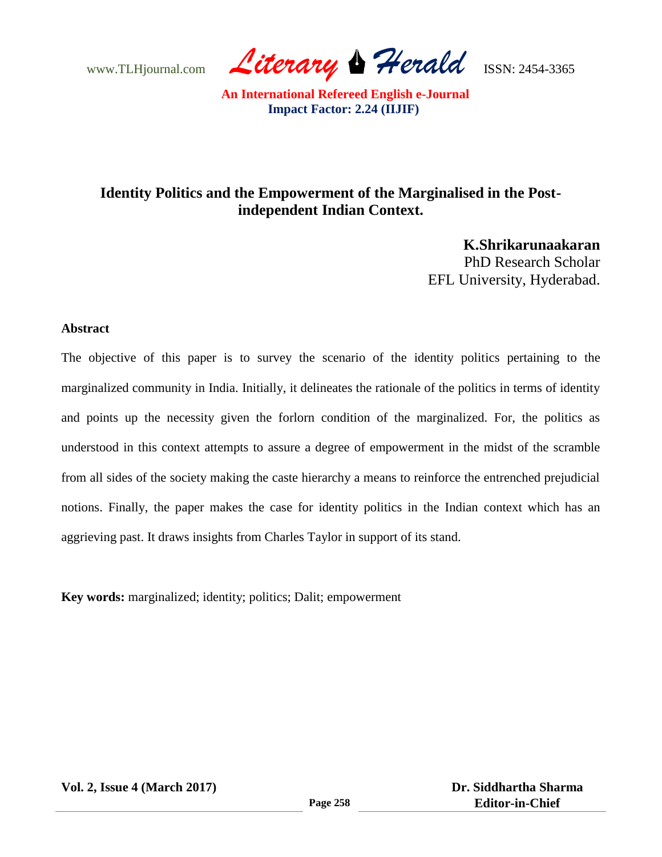www.TLHjournal.com **Literary Herald ISSN: 2454-3365** 

## **Identity Politics and the Empowerment of the Marginalised in the Postindependent Indian Context.**

**K.Shrikarunaakaran** PhD Research Scholar EFL University, Hyderabad.

## **Abstract**

The objective of this paper is to survey the scenario of the identity politics pertaining to the marginalized community in India. Initially, it delineates the rationale of the politics in terms of identity and points up the necessity given the forlorn condition of the marginalized. For, the politics as understood in this context attempts to assure a degree of empowerment in the midst of the scramble from all sides of the society making the caste hierarchy a means to reinforce the entrenched prejudicial notions. Finally, the paper makes the case for identity politics in the Indian context which has an aggrieving past. It draws insights from Charles Taylor in support of its stand.

**Key words:** marginalized; identity; politics; Dalit; empowerment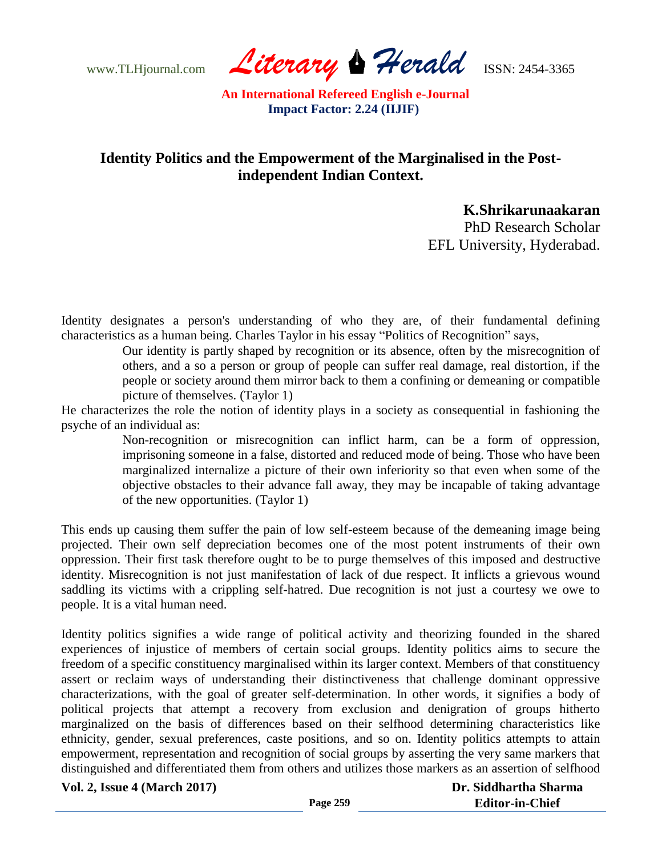www.TLHjournal.com *Literary Herald*ISSN: 2454-3365

## **Identity Politics and the Empowerment of the Marginalised in the Postindependent Indian Context.**

**K.Shrikarunaakaran**

PhD Research Scholar EFL University, Hyderabad.

Identity designates a person's understanding of who they are, of their fundamental defining characteristics as a human being. Charles Taylor in his essay "Politics of Recognition" says,

> Our identity is partly shaped by recognition or its absence, often by the misrecognition of others, and a so a person or group of people can suffer real damage, real distortion, if the people or society around them mirror back to them a confining or demeaning or compatible picture of themselves. (Taylor 1)

He characterizes the role the notion of identity plays in a society as consequential in fashioning the psyche of an individual as:

> Non-recognition or misrecognition can inflict harm, can be a form of oppression, imprisoning someone in a false, distorted and reduced mode of being. Those who have been marginalized internalize a picture of their own inferiority so that even when some of the objective obstacles to their advance fall away, they may be incapable of taking advantage of the new opportunities. (Taylor 1)

This ends up causing them suffer the pain of low self-esteem because of the demeaning image being projected. Their own self depreciation becomes one of the most potent instruments of their own oppression. Their first task therefore ought to be to purge themselves of this imposed and destructive identity. Misrecognition is not just manifestation of lack of due respect. It inflicts a grievous wound saddling its victims with a crippling self-hatred. Due recognition is not just a courtesy we owe to people. It is a vital human need.

Identity politics signifies a wide range of political activity and theorizing founded in the shared experiences of injustice of members of certain social groups. Identity politics aims to secure the freedom of a specific constituency marginalised within its larger context. Members of that constituency assert or reclaim ways of understanding their distinctiveness that challenge dominant oppressive characterizations, with the goal of greater self-determination. In other words, it signifies a body of political projects that attempt a recovery from exclusion and denigration of groups hitherto marginalized on the basis of differences based on their selfhood determining characteristics like ethnicity, gender, sexual preferences, caste positions, and so on. Identity politics attempts to attain empowerment, representation and recognition of social groups by asserting the very same markers that distinguished and differentiated them from others and utilizes those markers as an assertion of selfhood

**Vol. 2, Issue 4 (March 2017)**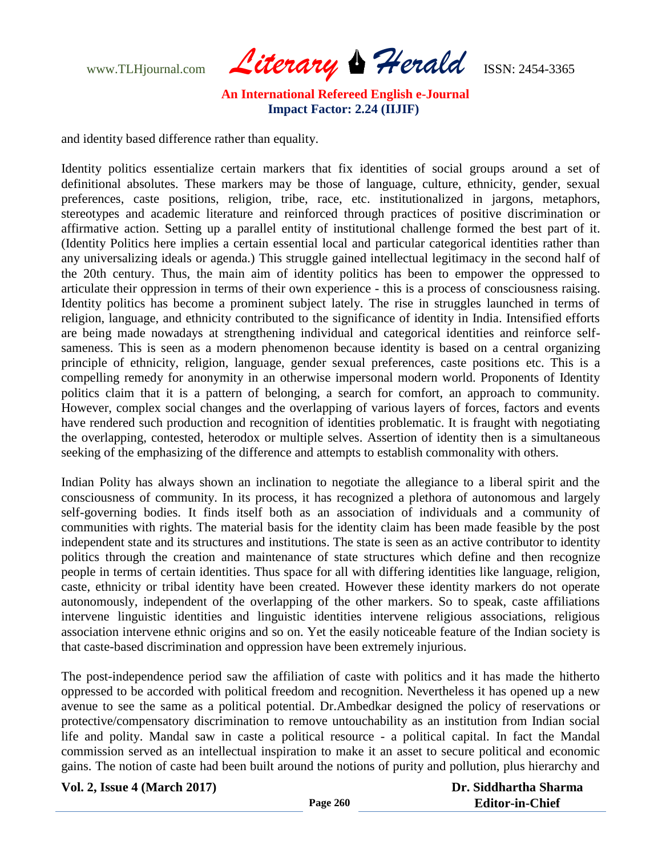www.TLHjournal.com *Literary Herald*ISSN: 2454-3365

and identity based difference rather than equality.

Identity politics essentialize certain markers that fix identities of social groups around a set of definitional absolutes. These markers may be those of language, culture, ethnicity, gender, sexual preferences, caste positions, religion, tribe, race, etc. institutionalized in jargons, metaphors, stereotypes and academic literature and reinforced through practices of positive discrimination or affirmative action. Setting up a parallel entity of institutional challenge formed the best part of it. (Identity Politics here implies a certain essential local and particular categorical identities rather than any universalizing ideals or agenda.) This struggle gained intellectual legitimacy in the second half of the 20th century. Thus, the main aim of identity politics has been to empower the oppressed to articulate their oppression in terms of their own experience - this is a process of consciousness raising. Identity politics has become a prominent subject lately. The rise in struggles launched in terms of religion, language, and ethnicity contributed to the significance of identity in India. Intensified efforts are being made nowadays at strengthening individual and categorical identities and reinforce selfsameness. This is seen as a modern phenomenon because identity is based on a central organizing principle of ethnicity, religion, language, gender sexual preferences, caste positions etc. This is a compelling remedy for anonymity in an otherwise impersonal modern world. Proponents of Identity politics claim that it is a pattern of belonging, a search for comfort, an approach to community. However, complex social changes and the overlapping of various layers of forces, factors and events have rendered such production and recognition of identities problematic. It is fraught with negotiating the overlapping, contested, heterodox or multiple selves. Assertion of identity then is a simultaneous seeking of the emphasizing of the difference and attempts to establish commonality with others.

Indian Polity has always shown an inclination to negotiate the allegiance to a liberal spirit and the consciousness of community. In its process, it has recognized a plethora of autonomous and largely self-governing bodies. It finds itself both as an association of individuals and a community of communities with rights. The material basis for the identity claim has been made feasible by the post independent state and its structures and institutions. The state is seen as an active contributor to identity politics through the creation and maintenance of state structures which define and then recognize people in terms of certain identities. Thus space for all with differing identities like language, religion, caste, ethnicity or tribal identity have been created. However these identity markers do not operate autonomously, independent of the overlapping of the other markers. So to speak, caste affiliations intervene linguistic identities and linguistic identities intervene religious associations, religious association intervene ethnic origins and so on. Yet the easily noticeable feature of the Indian society is that caste-based discrimination and oppression have been extremely injurious.

The post-independence period saw the affiliation of caste with politics and it has made the hitherto oppressed to be accorded with political freedom and recognition. Nevertheless it has opened up a new avenue to see the same as a political potential. Dr.Ambedkar designed the policy of reservations or protective/compensatory discrimination to remove untouchability as an institution from Indian social life and polity. Mandal saw in caste a political resource - a political capital. In fact the Mandal commission served as an intellectual inspiration to make it an asset to secure political and economic gains. The notion of caste had been built around the notions of purity and pollution, plus hierarchy and

| <b>Vol. 2, Issue 4 (March 2017)</b> |                 | Dr. Siddhartha Sharma  |
|-------------------------------------|-----------------|------------------------|
|                                     | <b>Page 260</b> | <b>Editor-in-Chief</b> |